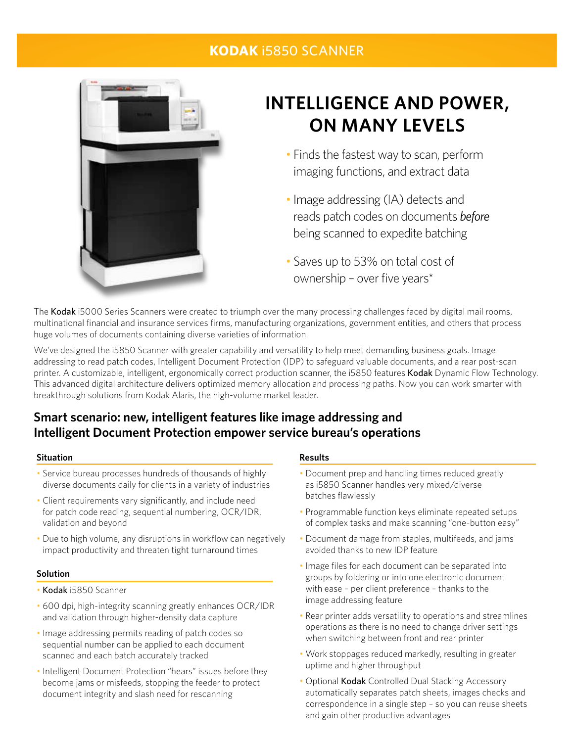### **Kodak** i5850 Scanner



# **INTELLIGENCE AND POWER, ON MANY LEVELS**

- Finds the fastest way to scan, perform imaging functions, and extract data
- Image addressing (IA) detects and reads patch codes on documents *before* being scanned to expedite batching
- Saves up to 53% on total cost of ownership – over five years\*

The Kodak i5000 Series Scanners were created to triumph over the many processing challenges faced by digital mail rooms, multinational financial and insurance services firms, manufacturing organizations, government entities, and others that process huge volumes of documents containing diverse varieties of information.

We've designed the i5850 Scanner with greater capability and versatility to help meet demanding business goals. Image addressing to read patch codes, Intelligent Document Protection (IDP) to safeguard valuable documents, and a rear post-scan printer. A customizable, intelligent, ergonomically correct production scanner, the i5850 features Kodak Dynamic Flow Technology. This advanced digital architecture delivers optimized memory allocation and processing paths. Now you can work smarter with breakthrough solutions from Kodak Alaris, the high-volume market leader.

## **Smart scenario: new, intelligent features like image addressing and Intelligent Document Protection empower service bureau's operations**

#### **Situation**

- Service bureau processes hundreds of thousands of highly diverse documents daily for clients in a variety of industries
- Client requirements vary significantly, and include need for patch code reading, sequential numbering, OCR/IDR, validation and beyond
- Due to high volume, any disruptions in workflow can negatively impact productivity and threaten tight turnaround times

#### **Solution**

- Kodak i5850 Scanner
- 600 dpi, high-integrity scanning greatly enhances OCR/IDR and validation through higher-density data capture
- Image addressing permits reading of patch codes so sequential number can be applied to each document scanned and each batch accurately tracked
- Intelligent Document Protection "hears" issues before they become jams or misfeeds, stopping the feeder to protect document integrity and slash need for rescanning

#### **Results**

- Document prep and handling times reduced greatly as i5850 Scanner handles very mixed/diverse batches flawlessly
- Programmable function keys eliminate repeated setups of complex tasks and make scanning "one-button easy"
- Document damage from staples, multifeeds, and jams avoided thanks to new IDP feature
- Image files for each document can be separated into groups by foldering or into one electronic document with ease – per client preference – thanks to the image addressing feature
- Rear printer adds versatility to operations and streamlines operations as there is no need to change driver settings when switching between front and rear printer
- Work stoppages reduced markedly, resulting in greater uptime and higher throughput
- Optional Kodak Controlled Dual Stacking Accessory automatically separates patch sheets, images checks and correspondence in a single step – so you can reuse sheets and gain other productive advantages